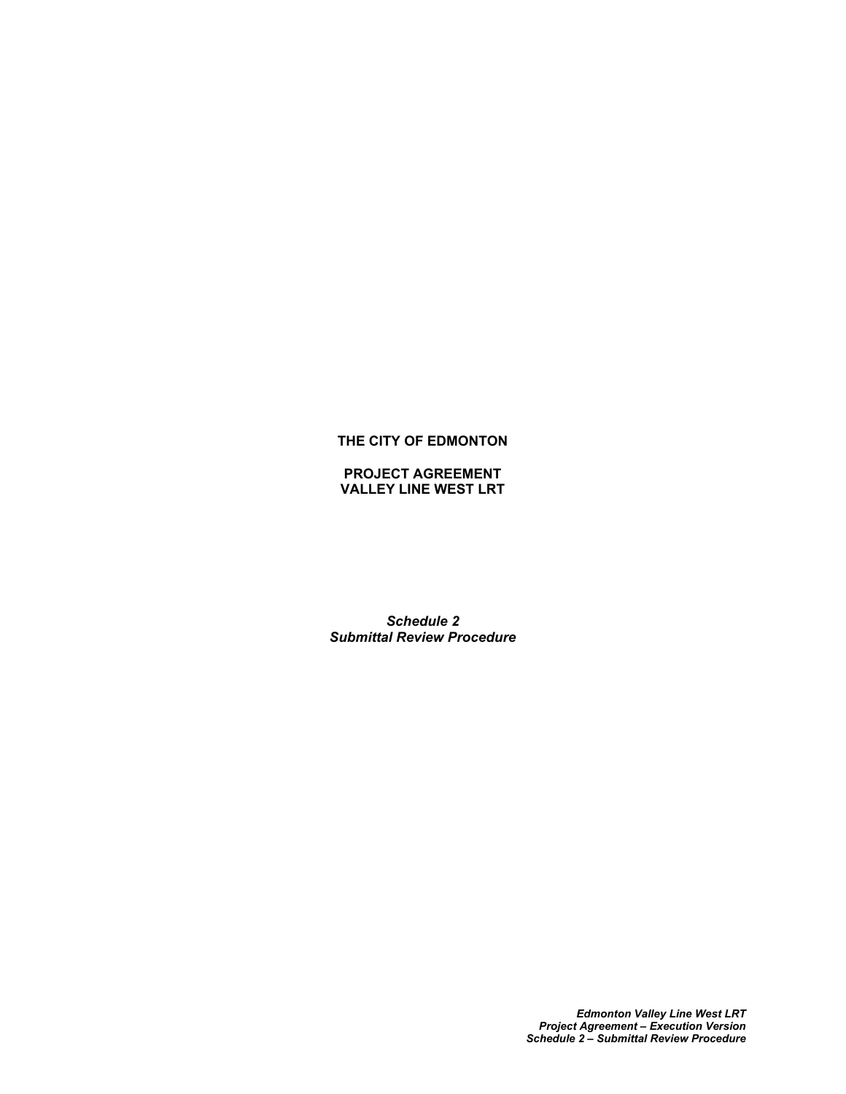# **THE CITY OF EDMONTON**

**PROJECT AGREEMENT VALLEY LINE WEST LRT**

*Schedule 2 Submittal Review Procedure*

> *Edmonton Valley Line West LRT Project Agreement – Execution Version Schedule 2 – Submittal Review Procedure*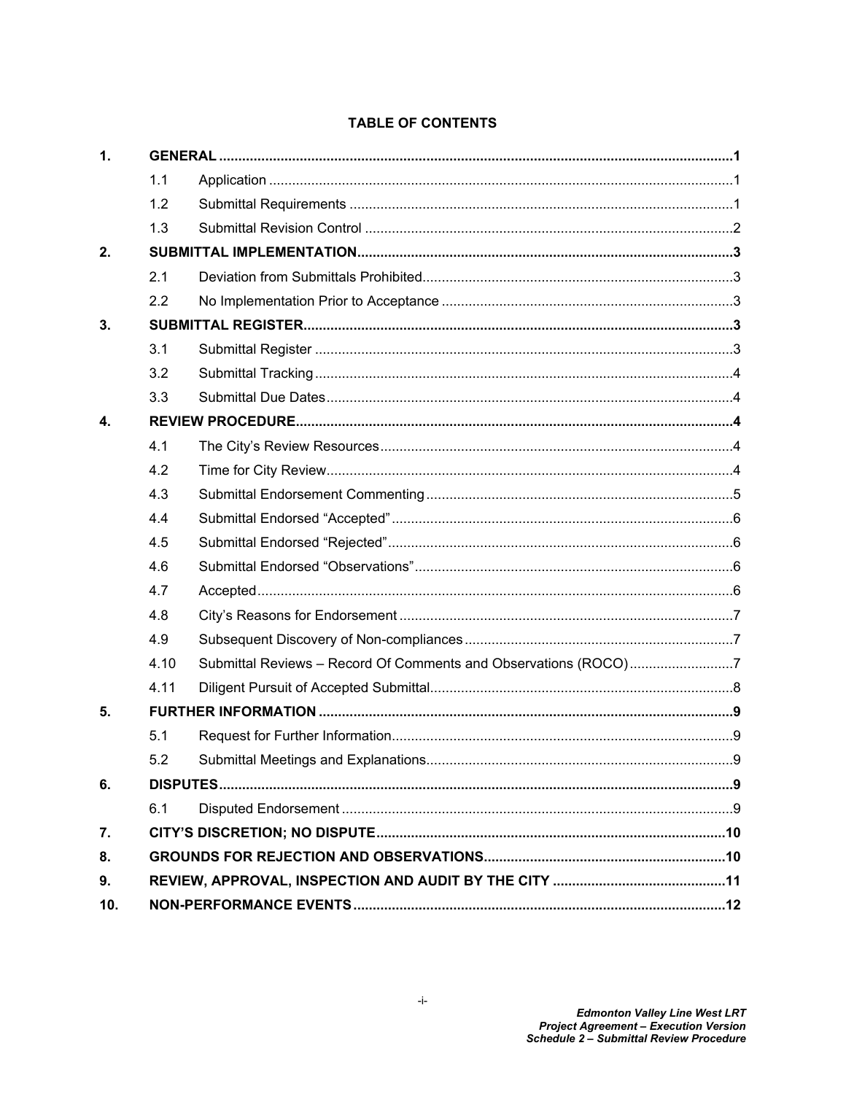| 1.           |      |                                                                 |   |
|--------------|------|-----------------------------------------------------------------|---|
|              | 1.1  |                                                                 |   |
|              | 1.2  |                                                                 |   |
|              | 1.3  |                                                                 |   |
| 2.           |      |                                                                 |   |
|              | 2.1  |                                                                 |   |
|              | 2.2  |                                                                 |   |
| 3.           |      |                                                                 |   |
|              | 3.1  |                                                                 |   |
|              | 3.2  |                                                                 |   |
|              | 3.3  |                                                                 |   |
| $\mathbf{4}$ |      |                                                                 |   |
|              | 4.1  |                                                                 |   |
|              | 4.2  |                                                                 |   |
|              | 4.3  |                                                                 |   |
|              | 4.4  |                                                                 |   |
|              | 4.5  |                                                                 |   |
|              | 4.6  |                                                                 |   |
|              | 4.7  |                                                                 |   |
|              | 4.8  |                                                                 |   |
|              | 4.9  |                                                                 |   |
|              | 4.10 | Submittal Reviews - Record Of Comments and Observations (ROCO)7 |   |
|              | 4.11 |                                                                 |   |
| 5.           |      |                                                                 |   |
|              | 5.1  |                                                                 |   |
|              | 52   | Submittal Meetings and Explanations                             | 9 |
| 6.           |      |                                                                 |   |
|              | 6.1  |                                                                 |   |
| 7.           |      |                                                                 |   |
| 8.           |      |                                                                 |   |
| 9.           |      |                                                                 |   |
| 10.          |      |                                                                 |   |

# **TABLE OF CONTENTS**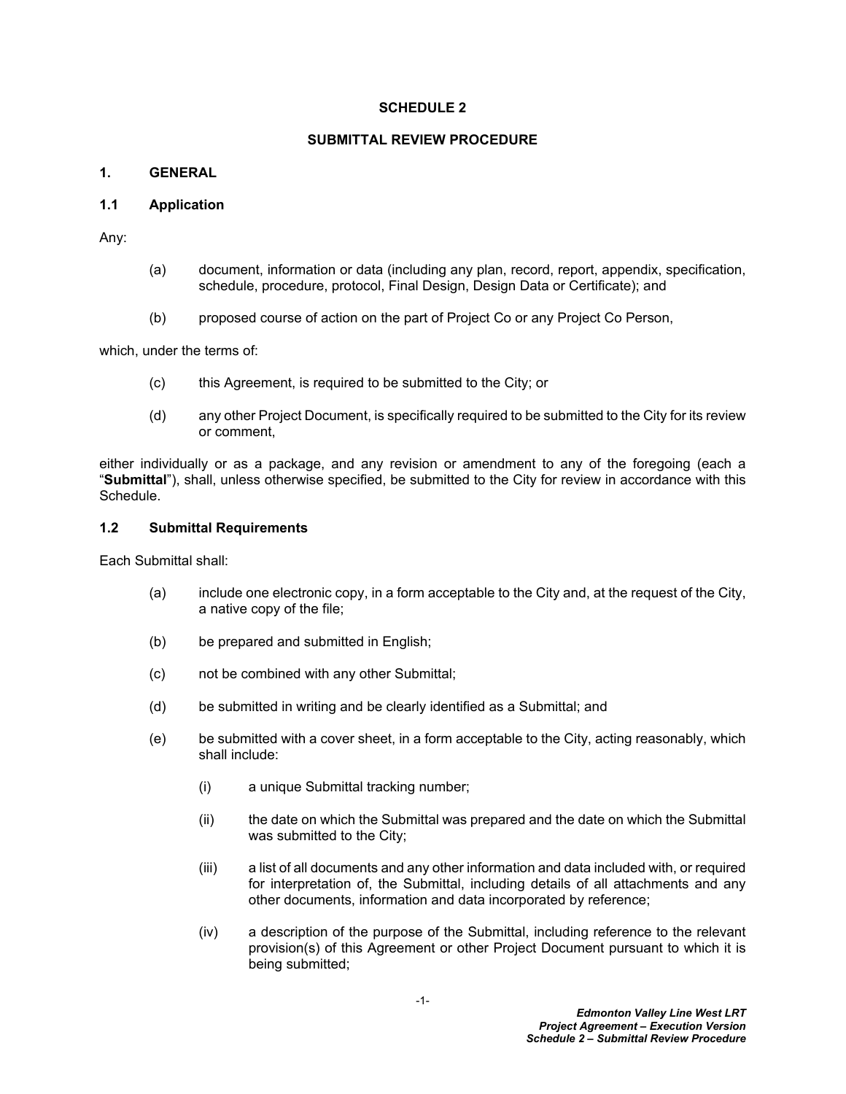#### **SCHEDULE 2**

#### **SUBMITTAL REVIEW PROCEDURE**

# <span id="page-2-0"></span>**1. GENERAL**

#### <span id="page-2-1"></span>**1.1 Application**

Any:

- (a) document, information or data (including any plan, record, report, appendix, specification, schedule, procedure, protocol, Final Design, Design Data or Certificate); and
- (b) proposed course of action on the part of Project Co or any Project Co Person,

which, under the terms of:

- (c) this Agreement, is required to be submitted to the City; or
- (d) any other Project Document, is specifically required to be submitted to the City for its review or comment,

either individually or as a package, and any revision or amendment to any of the foregoing (each a "**Submittal**"), shall, unless otherwise specified, be submitted to the City for review in accordance with this Schedule.

#### <span id="page-2-2"></span>**1.2 Submittal Requirements**

Each Submittal shall:

- (a) include one electronic copy, in a form acceptable to the City and, at the request of the City, a native copy of the file;
- (b) be prepared and submitted in English;
- (c) not be combined with any other Submittal;
- (d) be submitted in writing and be clearly identified as a Submittal; and
- (e) be submitted with a cover sheet, in a form acceptable to the City, acting reasonably, which shall include:
	- (i) a unique Submittal tracking number;
	- (ii) the date on which the Submittal was prepared and the date on which the Submittal was submitted to the City;
	- (iii) a list of all documents and any other information and data included with, or required for interpretation of, the Submittal, including details of all attachments and any other documents, information and data incorporated by reference;
	- (iv) a description of the purpose of the Submittal, including reference to the relevant provision(s) of this Agreement or other Project Document pursuant to which it is being submitted;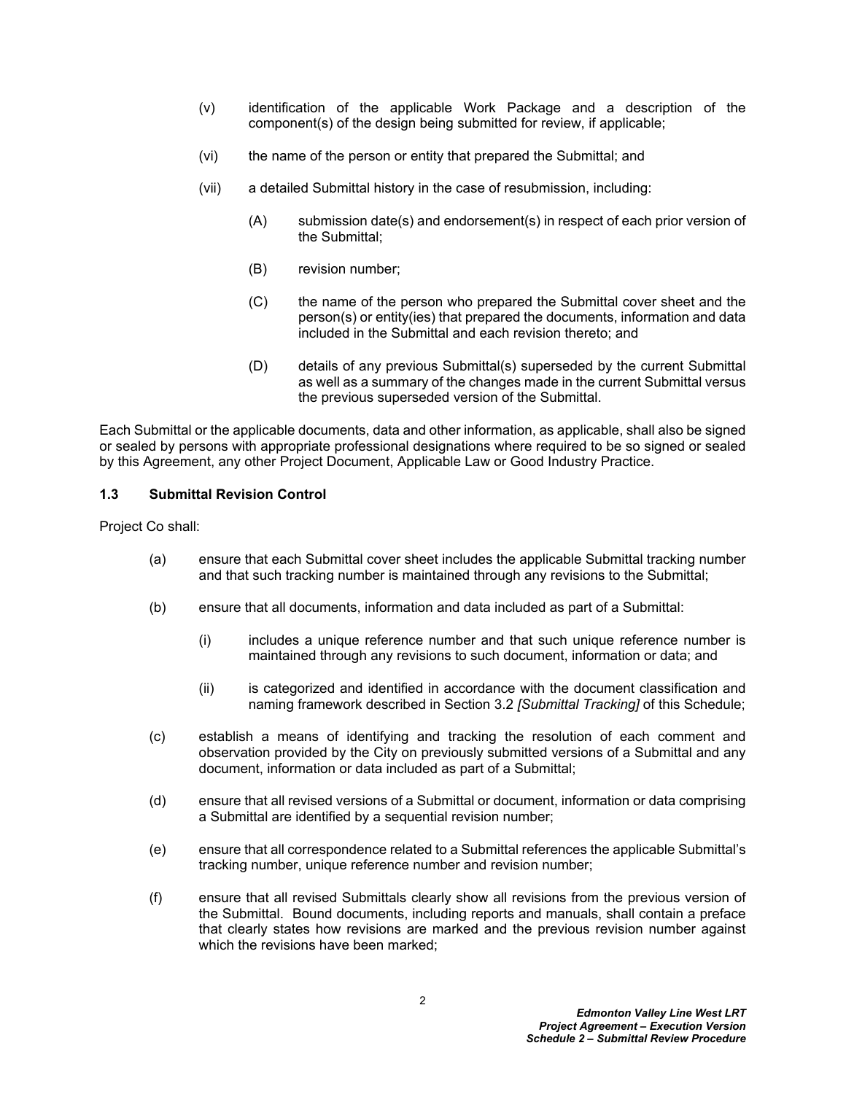- (v) identification of the applicable Work Package and a description of the component(s) of the design being submitted for review, if applicable;
- (vi) the name of the person or entity that prepared the Submittal; and
- (vii) a detailed Submittal history in the case of resubmission, including:
	- (A) submission date(s) and endorsement(s) in respect of each prior version of the Submittal;
	- (B) revision number;
	- (C) the name of the person who prepared the Submittal cover sheet and the person(s) or entity(ies) that prepared the documents, information and data included in the Submittal and each revision thereto; and
	- (D) details of any previous Submittal(s) superseded by the current Submittal as well as a summary of the changes made in the current Submittal versus the previous superseded version of the Submittal.

Each Submittal or the applicable documents, data and other information, as applicable, shall also be signed or sealed by persons with appropriate professional designations where required to be so signed or sealed by this Agreement, any other Project Document, Applicable Law or Good Industry Practice.

#### <span id="page-3-0"></span>**1.3 Submittal Revision Control**

Project Co shall:

- (a) ensure that each Submittal cover sheet includes the applicable Submittal tracking number and that such tracking number is maintained through any revisions to the Submittal;
- (b) ensure that all documents, information and data included as part of a Submittal:
	- (i) includes a unique reference number and that such unique reference number is maintained through any revisions to such document, information or data; and
	- (ii) is categorized and identified in accordance with the document classification and naming framework described in Section [3.2](#page-5-0) *[Submittal Tracking]* of this Schedule;
- (c) establish a means of identifying and tracking the resolution of each comment and observation provided by the City on previously submitted versions of a Submittal and any document, information or data included as part of a Submittal;
- (d) ensure that all revised versions of a Submittal or document, information or data comprising a Submittal are identified by a sequential revision number;
- (e) ensure that all correspondence related to a Submittal references the applicable Submittal's tracking number, unique reference number and revision number;
- (f) ensure that all revised Submittals clearly show all revisions from the previous version of the Submittal. Bound documents, including reports and manuals, shall contain a preface that clearly states how revisions are marked and the previous revision number against which the revisions have been marked;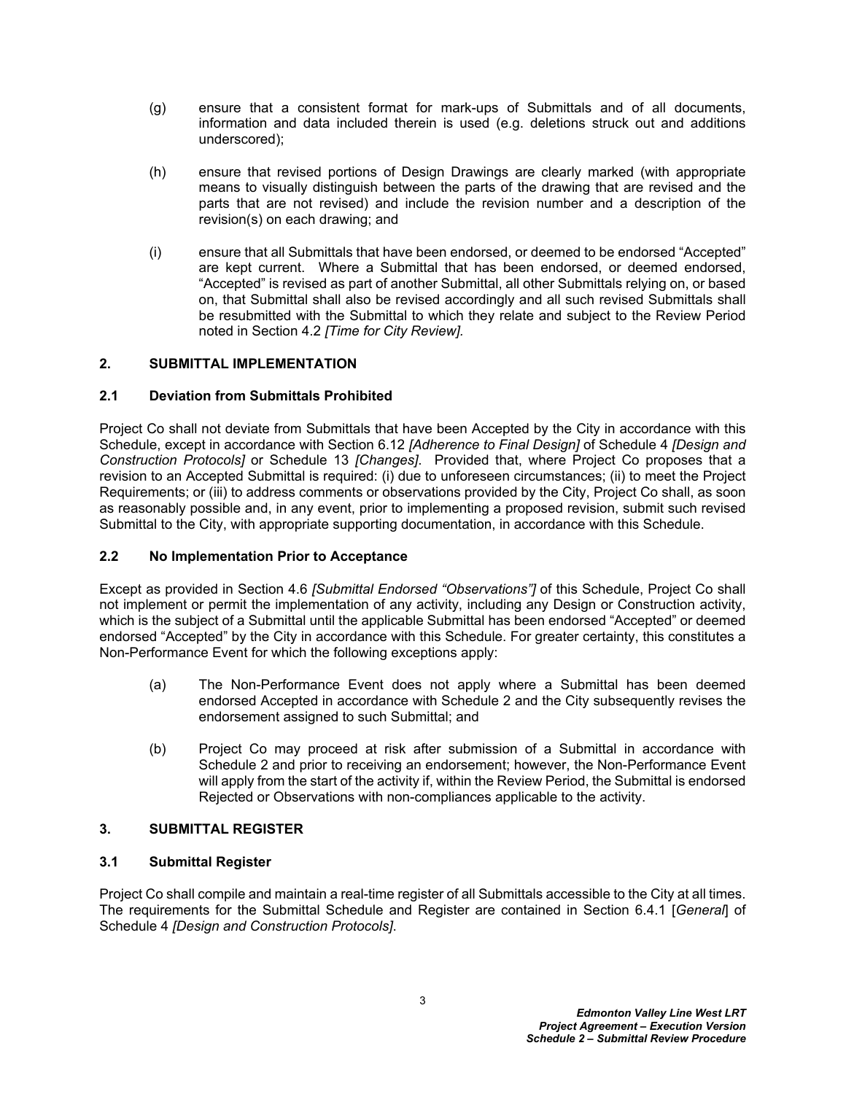- (g) ensure that a consistent format for mark-ups of Submittals and of all documents, information and data included therein is used (e.g. deletions struck out and additions underscored);
- (h) ensure that revised portions of Design Drawings are clearly marked (with appropriate means to visually distinguish between the parts of the drawing that are revised and the parts that are not revised) and include the revision number and a description of the revision(s) on each drawing; and
- (i) ensure that all Submittals that have been endorsed, or deemed to be endorsed "Accepted" are kept current. Where a Submittal that has been endorsed, or deemed endorsed, "Accepted" is revised as part of another Submittal, all other Submittals relying on, or based on, that Submittal shall also be revised accordingly and all such revised Submittals shall be resubmitted with the Submittal to which they relate and subject to the Review Period noted in Section [4.2](#page-5-4) *[Time for City Review].*

# <span id="page-4-0"></span>**2. SUBMITTAL IMPLEMENTATION**

#### <span id="page-4-1"></span>**2.1 Deviation from Submittals Prohibited**

Project Co shall not deviate from Submittals that have been Accepted by the City in accordance with this Schedule, except in accordance with Section 6.12 *[Adherence to Final Design]* of Schedule 4 *[Design and Construction Protocols]* or Schedule 13 *[Changes]*. Provided that, where Project Co proposes that a revision to an Accepted Submittal is required: (i) due to unforeseen circumstances; (ii) to meet the Project Requirements; or (iii) to address comments or observations provided by the City, Project Co shall, as soon as reasonably possible and, in any event, prior to implementing a proposed revision, submit such revised Submittal to the City, with appropriate supporting documentation, in accordance with this Schedule.

#### <span id="page-4-2"></span>**2.2 No Implementation Prior to Acceptance**

Except as provided in Section [4.6](#page-7-2) *[Submittal Endorsed "Observations"]* of this Schedule, Project Co shall not implement or permit the implementation of any activity, including any Design or Construction activity, which is the subject of a Submittal until the applicable Submittal has been endorsed "Accepted" or deemed endorsed "Accepted" by the City in accordance with this Schedule. For greater certainty, this constitutes a Non-Performance Event for which the following exceptions apply:

- (a) The Non-Performance Event does not apply where a Submittal has been deemed endorsed Accepted in accordance with Schedule 2 and the City subsequently revises the endorsement assigned to such Submittal; and
- (b) Project Co may proceed at risk after submission of a Submittal in accordance with Schedule 2 and prior to receiving an endorsement; however, the Non-Performance Event will apply from the start of the activity if, within the Review Period, the Submittal is endorsed Rejected or Observations with non-compliances applicable to the activity.

#### <span id="page-4-3"></span>**3. SUBMITTAL REGISTER**

#### <span id="page-4-4"></span>**3.1 Submittal Register**

Project Co shall compile and maintain a real-time register of all Submittals accessible to the City at all times. The requirements for the Submittal Schedule and Register are contained in Section 6.4.1 [*General*] of Schedule 4 *[Design and Construction Protocols]*.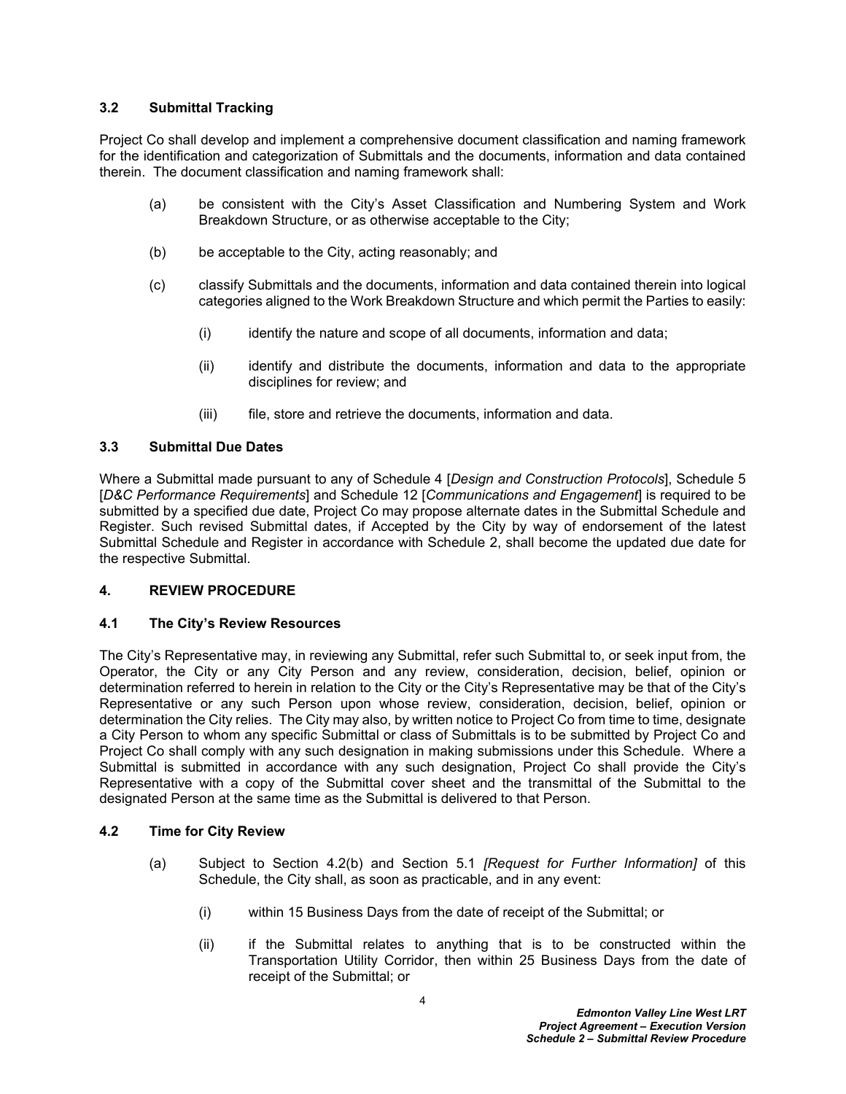#### <span id="page-5-0"></span>**3.2 Submittal Tracking**

Project Co shall develop and implement a comprehensive document classification and naming framework for the identification and categorization of Submittals and the documents, information and data contained therein. The document classification and naming framework shall:

- (a) be consistent with the City's Asset Classification and Numbering System and Work Breakdown Structure, or as otherwise acceptable to the City;
- (b) be acceptable to the City, acting reasonably; and
- (c) classify Submittals and the documents, information and data contained therein into logical categories aligned to the Work Breakdown Structure and which permit the Parties to easily:
	- $(i)$  identify the nature and scope of all documents, information and data;
	- (ii) identify and distribute the documents, information and data to the appropriate disciplines for review; and
	- (iii) file, store and retrieve the documents, information and data.

#### <span id="page-5-1"></span>**3.3 Submittal Due Dates**

Where a Submittal made pursuant to any of Schedule 4 [*Design and Construction Protocols*], Schedule 5 [*D&C Performance Requirements*] and Schedule 12 [*Communications and Engagement*] is required to be submitted by a specified due date, Project Co may propose alternate dates in the Submittal Schedule and Register. Such revised Submittal dates, if Accepted by the City by way of endorsement of the latest Submittal Schedule and Register in accordance with Schedule 2, shall become the updated due date for the respective Submittal.

#### <span id="page-5-2"></span>**4. REVIEW PROCEDURE**

# <span id="page-5-3"></span>**4.1 The City's Review Resources**

The City's Representative may, in reviewing any Submittal, refer such Submittal to, or seek input from, the Operator, the City or any City Person and any review, consideration, decision, belief, opinion or determination referred to herein in relation to the City or the City's Representative may be that of the City's Representative or any such Person upon whose review, consideration, decision, belief, opinion or determination the City relies. The City may also, by written notice to Project Co from time to time, designate a City Person to whom any specific Submittal or class of Submittals is to be submitted by Project Co and Project Co shall comply with any such designation in making submissions under this Schedule. Where a Submittal is submitted in accordance with any such designation, Project Co shall provide the City's Representative with a copy of the Submittal cover sheet and the transmittal of the Submittal to the designated Person at the same time as the Submittal is delivered to that Person.

# <span id="page-5-4"></span>**4.2 Time for City Review**

- (a) Subject to Section [4.2\(b\)](#page-6-1) and Section [5.1](#page-10-1) *[Request for Further Information]* of this Schedule, the City shall, as soon as practicable, and in any event:
	- (i) within 15 Business Days from the date of receipt of the Submittal; or
	- (ii) if the Submittal relates to anything that is to be constructed within the Transportation Utility Corridor, then within 25 Business Days from the date of receipt of the Submittal; or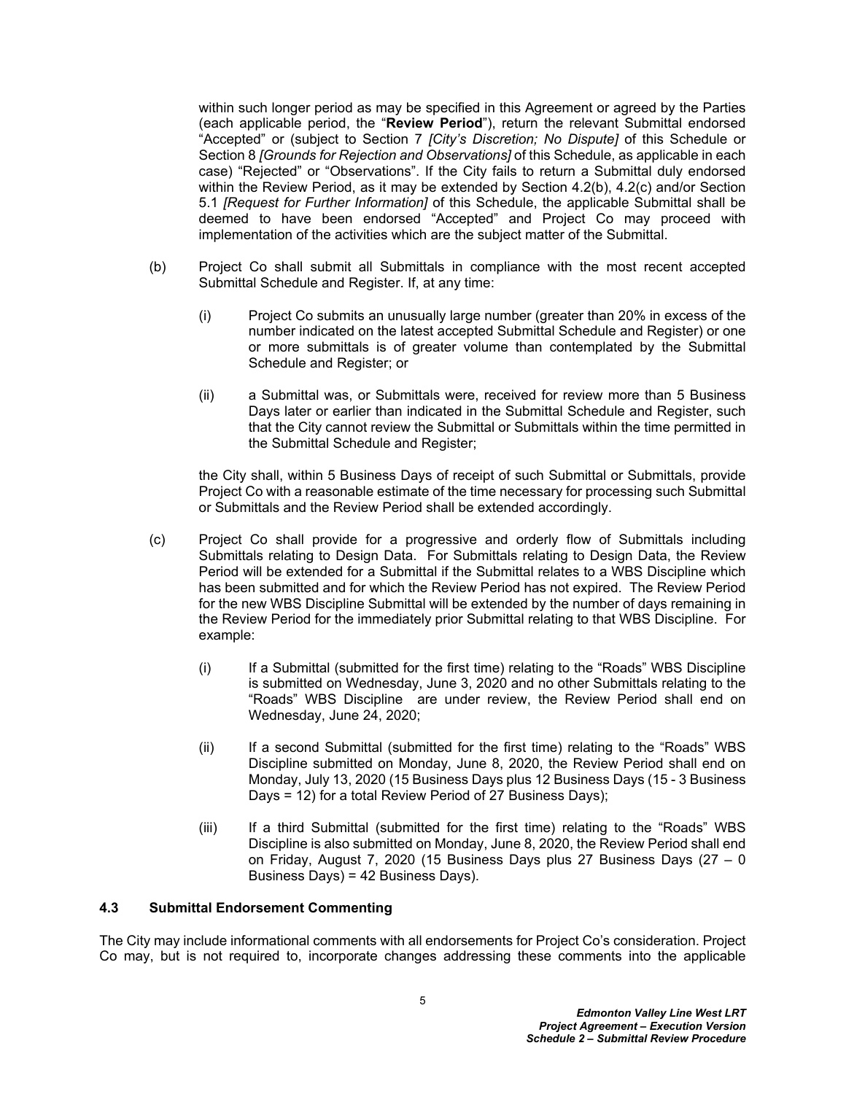within such longer period as may be specified in this Agreement or agreed by the Parties (each applicable period, the "**Review Period**"), return the relevant Submittal endorsed "Accepted" or (subject to Section [7](#page-11-0) *[City's Discretion; No Dispute]* of this Schedule or Section [8](#page-11-1) *[Grounds for Rejection and Observations]* of this Schedule, as applicable in each case) "Rejected" or "Observations". If the City fails to return a Submittal duly endorsed within the Review Period, as it may be extended by Section 4.2(b), 4.2(c) and/or Section 5.1 *[Request for Further Information]* of this Schedule, the applicable Submittal shall be deemed to have been endorsed "Accepted" and Project Co may proceed with implementation of the activities which are the subject matter of the Submittal.

- <span id="page-6-1"></span>(b) Project Co shall submit all Submittals in compliance with the most recent accepted Submittal Schedule and Register. If, at any time:
	- (i) Project Co submits an unusually large number (greater than 20% in excess of the number indicated on the latest accepted Submittal Schedule and Register) or one or more submittals is of greater volume than contemplated by the Submittal Schedule and Register; or
	- (ii) a Submittal was, or Submittals were, received for review more than 5 Business Days later or earlier than indicated in the Submittal Schedule and Register, such that the City cannot review the Submittal or Submittals within the time permitted in the Submittal Schedule and Register;

the City shall, within 5 Business Days of receipt of such Submittal or Submittals, provide Project Co with a reasonable estimate of the time necessary for processing such Submittal or Submittals and the Review Period shall be extended accordingly.

- (c) Project Co shall provide for a progressive and orderly flow of Submittals including Submittals relating to Design Data. For Submittals relating to Design Data, the Review Period will be extended for a Submittal if the Submittal relates to a WBS Discipline which has been submitted and for which the Review Period has not expired. The Review Period for the new WBS Discipline Submittal will be extended by the number of days remaining in the Review Period for the immediately prior Submittal relating to that WBS Discipline. For example:
	- (i) If a Submittal (submitted for the first time) relating to the "Roads" WBS Discipline is submitted on Wednesday, June 3, 2020 and no other Submittals relating to the "Roads" WBS Discipline are under review, the Review Period shall end on Wednesday, June 24, 2020;
	- (ii) If a second Submittal (submitted for the first time) relating to the "Roads" WBS Discipline submitted on Monday, June 8, 2020, the Review Period shall end on Monday, July 13, 2020 (15 Business Days plus 12 Business Days (15 - 3 Business Days = 12) for a total Review Period of 27 Business Days);
	- (iii) If a third Submittal (submitted for the first time) relating to the "Roads" WBS Discipline is also submitted on Monday, June 8, 2020, the Review Period shall end on Friday, August 7, 2020 (15 Business Days plus 27 Business Days (27 – 0 Business Days) = 42 Business Days).

#### <span id="page-6-0"></span>**4.3 Submittal Endorsement Commenting**

The City may include informational comments with all endorsements for Project Co's consideration. Project Co may, but is not required to, incorporate changes addressing these comments into the applicable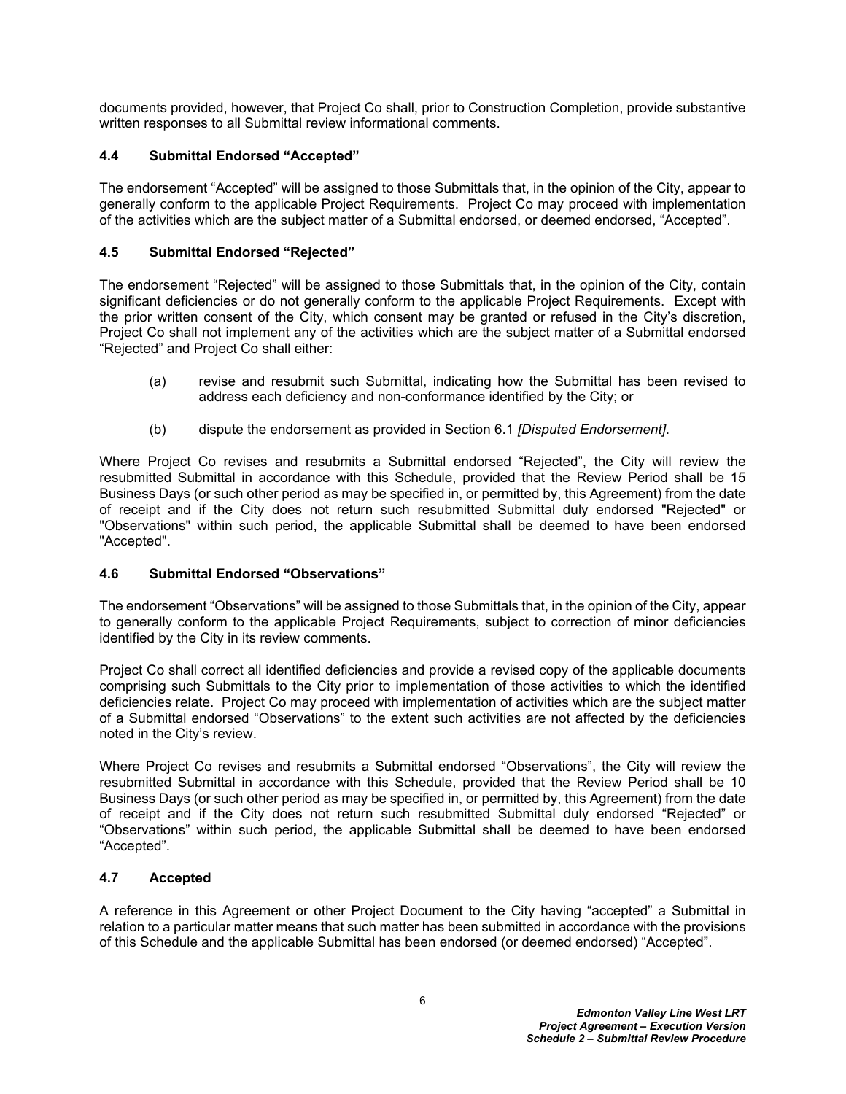documents provided, however, that Project Co shall, prior to Construction Completion, provide substantive written responses to all Submittal review informational comments.

# <span id="page-7-0"></span>**4.4 Submittal Endorsed "Accepted"**

The endorsement "Accepted" will be assigned to those Submittals that, in the opinion of the City, appear to generally conform to the applicable Project Requirements. Project Co may proceed with implementation of the activities which are the subject matter of a Submittal endorsed, or deemed endorsed, "Accepted".

#### <span id="page-7-1"></span>**4.5 Submittal Endorsed "Rejected"**

The endorsement "Rejected" will be assigned to those Submittals that, in the opinion of the City, contain significant deficiencies or do not generally conform to the applicable Project Requirements. Except with the prior written consent of the City, which consent may be granted or refused in the City's discretion, Project Co shall not implement any of the activities which are the subject matter of a Submittal endorsed "Rejected" and Project Co shall either:

- (a) revise and resubmit such Submittal, indicating how the Submittal has been revised to address each deficiency and non-conformance identified by the City; or
- (b) dispute the endorsement as provided in Section [6.1](#page-10-4) *[Disputed Endorsement]*.

Where Project Co revises and resubmits a Submittal endorsed "Rejected", the City will review the resubmitted Submittal in accordance with this Schedule, provided that the Review Period shall be 15 Business Days (or such other period as may be specified in, or permitted by, this Agreement) from the date of receipt and if the City does not return such resubmitted Submittal duly endorsed "Rejected" or "Observations" within such period, the applicable Submittal shall be deemed to have been endorsed "Accepted".

# <span id="page-7-2"></span>**4.6 Submittal Endorsed "Observations"**

The endorsement "Observations" will be assigned to those Submittals that, in the opinion of the City, appear to generally conform to the applicable Project Requirements, subject to correction of minor deficiencies identified by the City in its review comments.

Project Co shall correct all identified deficiencies and provide a revised copy of the applicable documents comprising such Submittals to the City prior to implementation of those activities to which the identified deficiencies relate. Project Co may proceed with implementation of activities which are the subject matter of a Submittal endorsed "Observations" to the extent such activities are not affected by the deficiencies noted in the City's review.

Where Project Co revises and resubmits a Submittal endorsed "Observations", the City will review the resubmitted Submittal in accordance with this Schedule, provided that the Review Period shall be 10 Business Days (or such other period as may be specified in, or permitted by, this Agreement) from the date of receipt and if the City does not return such resubmitted Submittal duly endorsed "Rejected" or "Observations" within such period, the applicable Submittal shall be deemed to have been endorsed "Accepted".

# <span id="page-7-3"></span>**4.7 Accepted**

A reference in this Agreement or other Project Document to the City having "accepted" a Submittal in relation to a particular matter means that such matter has been submitted in accordance with the provisions of this Schedule and the applicable Submittal has been endorsed (or deemed endorsed) "Accepted".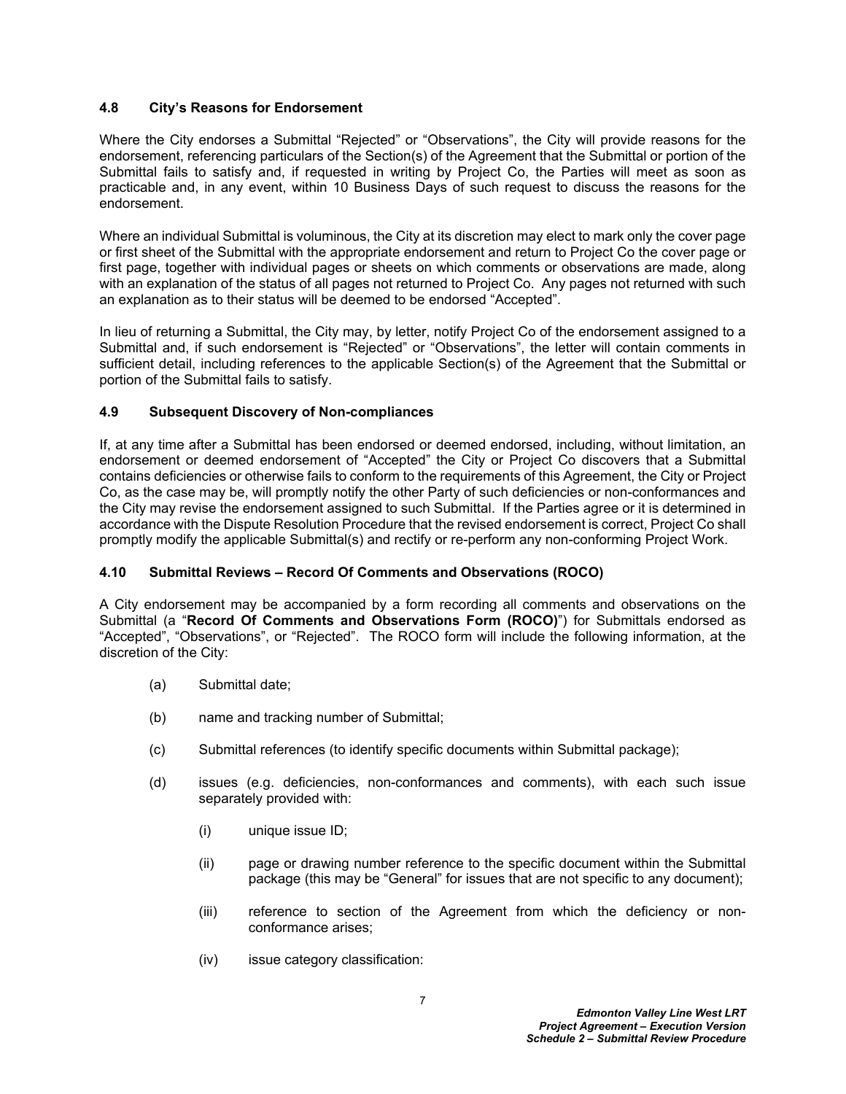#### <span id="page-8-0"></span>**4.8 City's Reasons for Endorsement**

Where the City endorses a Submittal "Rejected" or "Observations", the City will provide reasons for the endorsement, referencing particulars of the Section(s) of the Agreement that the Submittal or portion of the Submittal fails to satisfy and, if requested in writing by Project Co, the Parties will meet as soon as practicable and, in any event, within 10 Business Days of such request to discuss the reasons for the endorsement.

Where an individual Submittal is voluminous, the City at its discretion may elect to mark only the cover page or first sheet of the Submittal with the appropriate endorsement and return to Project Co the cover page or first page, together with individual pages or sheets on which comments or observations are made, along with an explanation of the status of all pages not returned to Project Co. Any pages not returned with such an explanation as to their status will be deemed to be endorsed "Accepted".

In lieu of returning a Submittal, the City may, by letter, notify Project Co of the endorsement assigned to a Submittal and, if such endorsement is "Rejected" or "Observations", the letter will contain comments in sufficient detail, including references to the applicable Section(s) of the Agreement that the Submittal or portion of the Submittal fails to satisfy.

#### <span id="page-8-1"></span>**4.9 Subsequent Discovery of Non-compliances**

If, at any time after a Submittal has been endorsed or deemed endorsed, including, without limitation, an endorsement or deemed endorsement of "Accepted" the City or Project Co discovers that a Submittal contains deficiencies or otherwise fails to conform to the requirements of this Agreement, the City or Project Co, as the case may be, will promptly notify the other Party of such deficiencies or non-conformances and the City may revise the endorsement assigned to such Submittal. If the Parties agree or it is determined in accordance with the Dispute Resolution Procedure that the revised endorsement is correct, Project Co shall promptly modify the applicable Submittal(s) and rectify or re-perform any non-conforming Project Work.

# <span id="page-8-2"></span>**4.10 Submittal Reviews – Record Of Comments and Observations (ROCO)**

A City endorsement may be accompanied by a form recording all comments and observations on the Submittal (a "**Record Of Comments and Observations Form (ROCO)**") for Submittals endorsed as "Accepted", "Observations", or "Rejected". The ROCO form will include the following information, at the discretion of the City:

- (a) Submittal date;
- (b) name and tracking number of Submittal;
- (c) Submittal references (to identify specific documents within Submittal package);
- (d) issues (e.g. deficiencies, non-conformances and comments), with each such issue separately provided with:
	- (i) unique issue ID;
	- (ii) page or drawing number reference to the specific document within the Submittal package (this may be "General" for issues that are not specific to any document);
	- (iii) reference to section of the Agreement from which the deficiency or nonconformance arises;
	- (iv) issue category classification: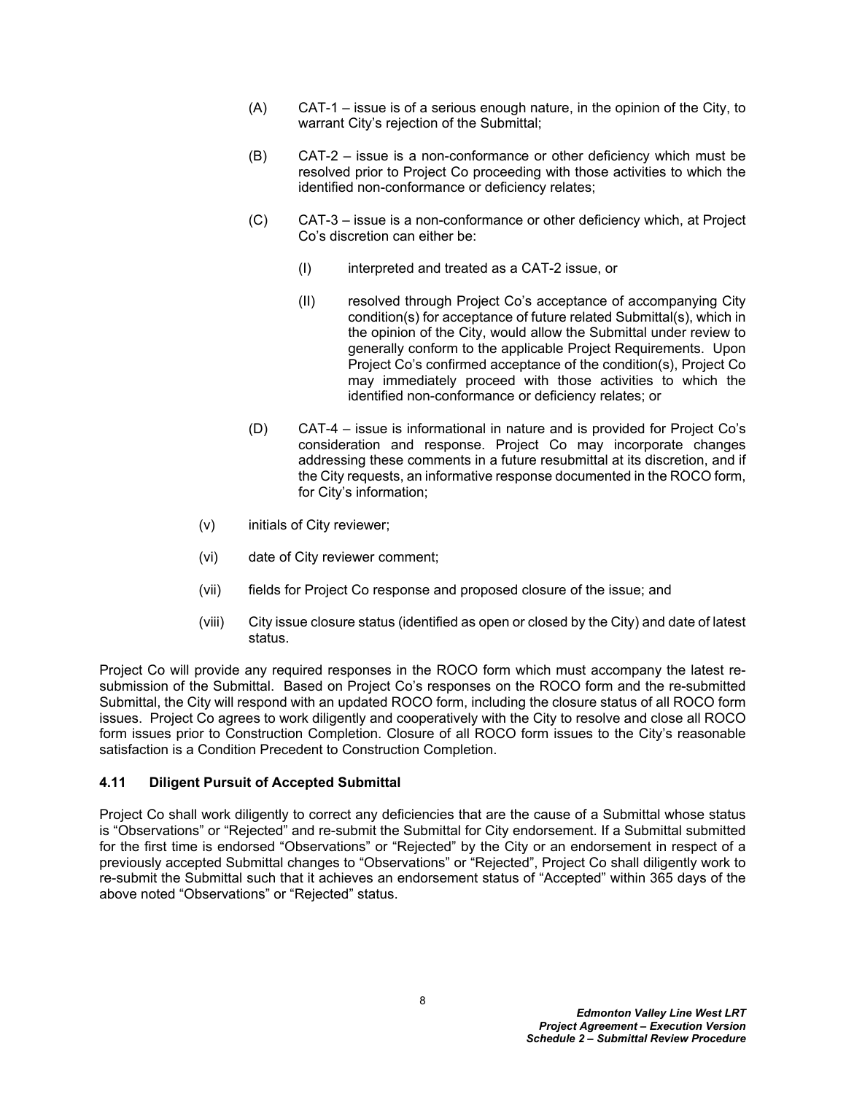- (A) CAT-1 issue is of a serious enough nature, in the opinion of the City, to warrant City's rejection of the Submittal;
- (B) CAT-2 issue is a non-conformance or other deficiency which must be resolved prior to Project Co proceeding with those activities to which the identified non-conformance or deficiency relates;
- (C) CAT-3 issue is a non-conformance or other deficiency which, at Project Co's discretion can either be:
	- (I) interpreted and treated as a CAT-2 issue, or
	- (II) resolved through Project Co's acceptance of accompanying City condition(s) for acceptance of future related Submittal(s), which in the opinion of the City, would allow the Submittal under review to generally conform to the applicable Project Requirements. Upon Project Co's confirmed acceptance of the condition(s), Project Co may immediately proceed with those activities to which the identified non-conformance or deficiency relates; or
- (D) CAT-4 issue is informational in nature and is provided for Project Co's consideration and response. Project Co may incorporate changes addressing these comments in a future resubmittal at its discretion, and if the City requests, an informative response documented in the ROCO form, for City's information;
- (v) initials of City reviewer;
- (vi) date of City reviewer comment;
- (vii) fields for Project Co response and proposed closure of the issue; and
- (viii) City issue closure status (identified as open or closed by the City) and date of latest status.

Project Co will provide any required responses in the ROCO form which must accompany the latest resubmission of the Submittal. Based on Project Co's responses on the ROCO form and the re-submitted Submittal, the City will respond with an updated ROCO form, including the closure status of all ROCO form issues. Project Co agrees to work diligently and cooperatively with the City to resolve and close all ROCO form issues prior to Construction Completion. Closure of all ROCO form issues to the City's reasonable satisfaction is a Condition Precedent to Construction Completion.

# <span id="page-9-0"></span>**4.11 Diligent Pursuit of Accepted Submittal**

Project Co shall work diligently to correct any deficiencies that are the cause of a Submittal whose status is "Observations" or "Rejected" and re-submit the Submittal for City endorsement. If a Submittal submitted for the first time is endorsed "Observations" or "Rejected" by the City or an endorsement in respect of a previously accepted Submittal changes to "Observations" or "Rejected", Project Co shall diligently work to re-submit the Submittal such that it achieves an endorsement status of "Accepted" within 365 days of the above noted "Observations" or "Rejected" status.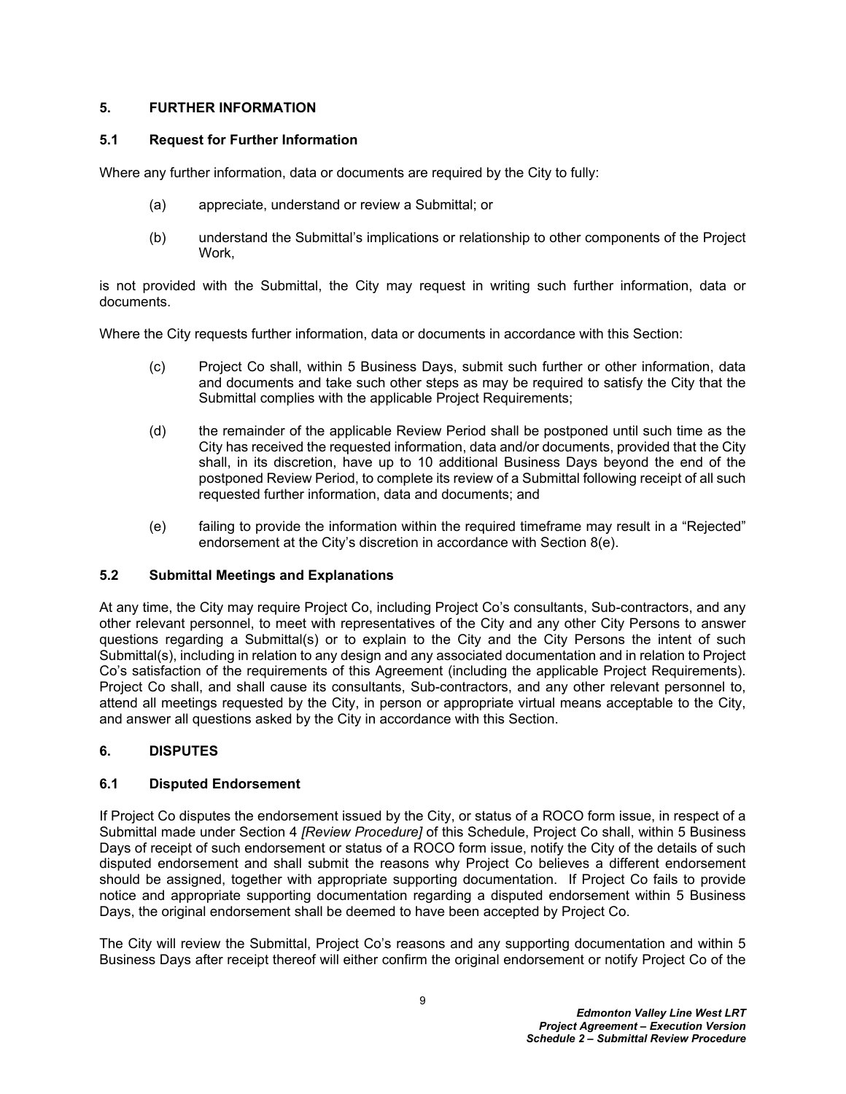# <span id="page-10-0"></span>**5. FURTHER INFORMATION**

#### <span id="page-10-1"></span>**5.1 Request for Further Information**

Where any further information, data or documents are required by the City to fully:

- (a) appreciate, understand or review a Submittal; or
- (b) understand the Submittal's implications or relationship to other components of the Project Work,

is not provided with the Submittal, the City may request in writing such further information, data or documents.

Where the City requests further information, data or documents in accordance with this Section:

- (c) Project Co shall, within 5 Business Days, submit such further or other information, data and documents and take such other steps as may be required to satisfy the City that the Submittal complies with the applicable Project Requirements;
- (d) the remainder of the applicable Review Period shall be postponed until such time as the City has received the requested information, data and/or documents, provided that the City shall, in its discretion, have up to 10 additional Business Days beyond the end of the postponed Review Period, to complete its review of a Submittal following receipt of all such requested further information, data and documents; and
- (e) failing to provide the information within the required timeframe may result in a "Rejected" endorsement at the City's discretion in accordance with Section [8\(e\)](#page-11-2).

# <span id="page-10-2"></span>**5.2 Submittal Meetings and Explanations**

At any time, the City may require Project Co, including Project Co's consultants, Sub-contractors, and any other relevant personnel, to meet with representatives of the City and any other City Persons to answer questions regarding a Submittal(s) or to explain to the City and the City Persons the intent of such Submittal(s), including in relation to any design and any associated documentation and in relation to Project Co's satisfaction of the requirements of this Agreement (including the applicable Project Requirements). Project Co shall, and shall cause its consultants, Sub-contractors, and any other relevant personnel to, attend all meetings requested by the City, in person or appropriate virtual means acceptable to the City, and answer all questions asked by the City in accordance with this Section.

# <span id="page-10-3"></span>**6. DISPUTES**

# <span id="page-10-4"></span>**6.1 Disputed Endorsement**

If Project Co disputes the endorsement issued by the City, or status of a ROCO form issue, in respect of a Submittal made under Section [4](#page-5-2) *[Review Procedure]* of this Schedule, Project Co shall, within 5 Business Days of receipt of such endorsement or status of a ROCO form issue, notify the City of the details of such disputed endorsement and shall submit the reasons why Project Co believes a different endorsement should be assigned, together with appropriate supporting documentation. If Project Co fails to provide notice and appropriate supporting documentation regarding a disputed endorsement within 5 Business Days, the original endorsement shall be deemed to have been accepted by Project Co.

The City will review the Submittal, Project Co's reasons and any supporting documentation and within 5 Business Days after receipt thereof will either confirm the original endorsement or notify Project Co of the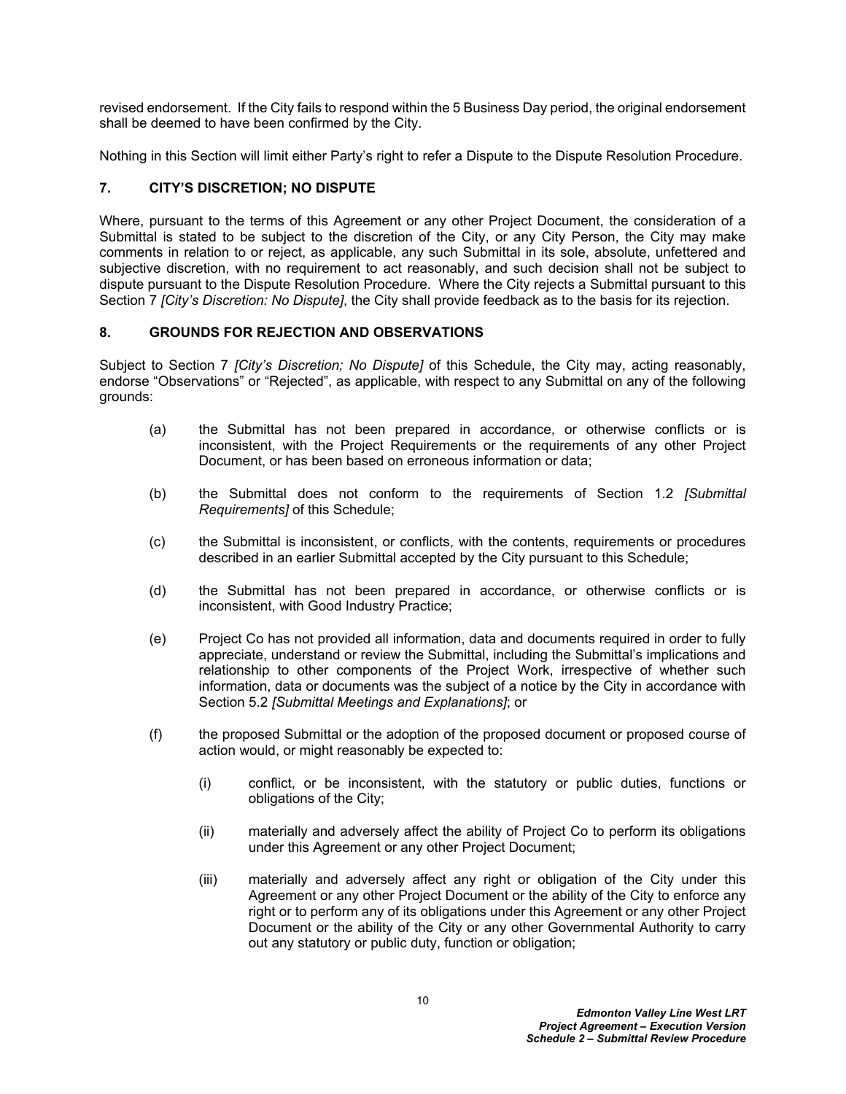revised endorsement. If the City fails to respond within the 5 Business Day period, the original endorsement shall be deemed to have been confirmed by the City.

Nothing in this Section will limit either Party's right to refer a Dispute to the Dispute Resolution Procedure.

# <span id="page-11-0"></span>**7. CITY'S DISCRETION; NO DISPUTE**

Where, pursuant to the terms of this Agreement or any other Project Document, the consideration of a Submittal is stated to be subject to the discretion of the City, or any City Person, the City may make comments in relation to or reject, as applicable, any such Submittal in its sole, absolute, unfettered and subjective discretion, with no requirement to act reasonably, and such decision shall not be subject to dispute pursuant to the Dispute Resolution Procedure. Where the City rejects a Submittal pursuant to this Section [7](#page-11-0) *[City's Discretion: No Dispute]*, the City shall provide feedback as to the basis for its rejection.

# <span id="page-11-1"></span>**8. GROUNDS FOR REJECTION AND OBSERVATIONS**

Subject to Section [7](#page-11-0) *[City's Discretion; No Dispute]* of this Schedule, the City may, acting reasonably, endorse "Observations" or "Rejected", as applicable, with respect to any Submittal on any of the following grounds:

- (a) the Submittal has not been prepared in accordance, or otherwise conflicts or is inconsistent, with the Project Requirements or the requirements of any other Project Document, or has been based on erroneous information or data;
- (b) the Submittal does not conform to the requirements of Section [1.2](#page-2-2) *[Submittal Requirements]* of this Schedule;
- (c) the Submittal is inconsistent, or conflicts, with the contents, requirements or procedures described in an earlier Submittal accepted by the City pursuant to this Schedule;
- (d) the Submittal has not been prepared in accordance, or otherwise conflicts or is inconsistent, with Good Industry Practice;
- <span id="page-11-2"></span>(e) Project Co has not provided all information, data and documents required in order to fully appreciate, understand or review the Submittal, including the Submittal's implications and relationship to other components of the Project Work, irrespective of whether such information, data or documents was the subject of a notice by the City in accordance with Section [5.2](#page-10-2) *[Submittal Meetings and Explanations]*; or
- (f) the proposed Submittal or the adoption of the proposed document or proposed course of action would, or might reasonably be expected to:
	- (i) conflict, or be inconsistent, with the statutory or public duties, functions or obligations of the City;
	- (ii) materially and adversely affect the ability of Project Co to perform its obligations under this Agreement or any other Project Document;
	- (iii) materially and adversely affect any right or obligation of the City under this Agreement or any other Project Document or the ability of the City to enforce any right or to perform any of its obligations under this Agreement or any other Project Document or the ability of the City or any other Governmental Authority to carry out any statutory or public duty, function or obligation;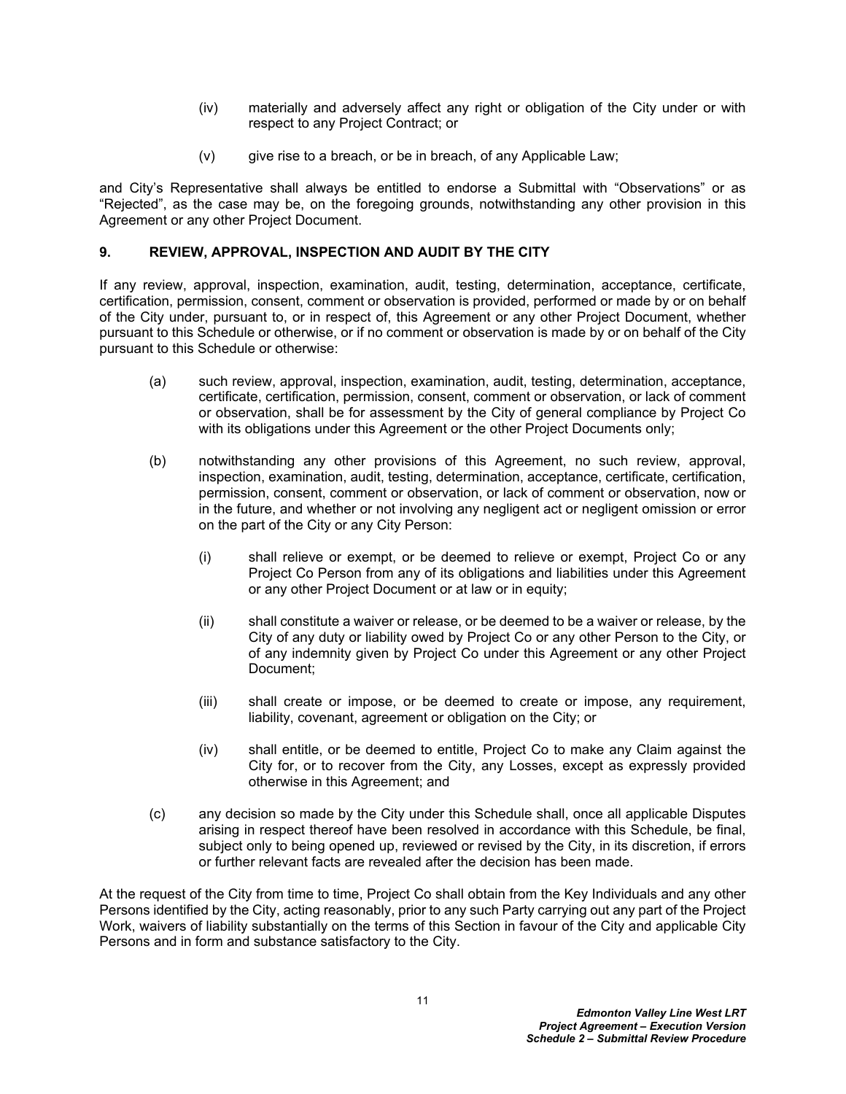- (iv) materially and adversely affect any right or obligation of the City under or with respect to any Project Contract; or
- $(v)$  give rise to a breach, or be in breach, of any Applicable Law;

and City's Representative shall always be entitled to endorse a Submittal with "Observations" or as "Rejected", as the case may be, on the foregoing grounds, notwithstanding any other provision in this Agreement or any other Project Document.

# <span id="page-12-0"></span>**9. REVIEW, APPROVAL, INSPECTION AND AUDIT BY THE CITY**

If any review, approval, inspection, examination, audit, testing, determination, acceptance, certificate, certification, permission, consent, comment or observation is provided, performed or made by or on behalf of the City under, pursuant to, or in respect of, this Agreement or any other Project Document, whether pursuant to this Schedule or otherwise, or if no comment or observation is made by or on behalf of the City pursuant to this Schedule or otherwise:

- (a) such review, approval, inspection, examination, audit, testing, determination, acceptance, certificate, certification, permission, consent, comment or observation, or lack of comment or observation, shall be for assessment by the City of general compliance by Project Co with its obligations under this Agreement or the other Project Documents only;
- (b) notwithstanding any other provisions of this Agreement, no such review, approval, inspection, examination, audit, testing, determination, acceptance, certificate, certification, permission, consent, comment or observation, or lack of comment or observation, now or in the future, and whether or not involving any negligent act or negligent omission or error on the part of the City or any City Person:
	- (i) shall relieve or exempt, or be deemed to relieve or exempt, Project Co or any Project Co Person from any of its obligations and liabilities under this Agreement or any other Project Document or at law or in equity;
	- (ii) shall constitute a waiver or release, or be deemed to be a waiver or release, by the City of any duty or liability owed by Project Co or any other Person to the City, or of any indemnity given by Project Co under this Agreement or any other Project Document;
	- (iii) shall create or impose, or be deemed to create or impose, any requirement, liability, covenant, agreement or obligation on the City; or
	- (iv) shall entitle, or be deemed to entitle, Project Co to make any Claim against the City for, or to recover from the City, any Losses, except as expressly provided otherwise in this Agreement; and
- (c) any decision so made by the City under this Schedule shall, once all applicable Disputes arising in respect thereof have been resolved in accordance with this Schedule, be final, subject only to being opened up, reviewed or revised by the City, in its discretion, if errors or further relevant facts are revealed after the decision has been made.

At the request of the City from time to time, Project Co shall obtain from the Key Individuals and any other Persons identified by the City, acting reasonably, prior to any such Party carrying out any part of the Project Work, waivers of liability substantially on the terms of this Section in favour of the City and applicable City Persons and in form and substance satisfactory to the City.